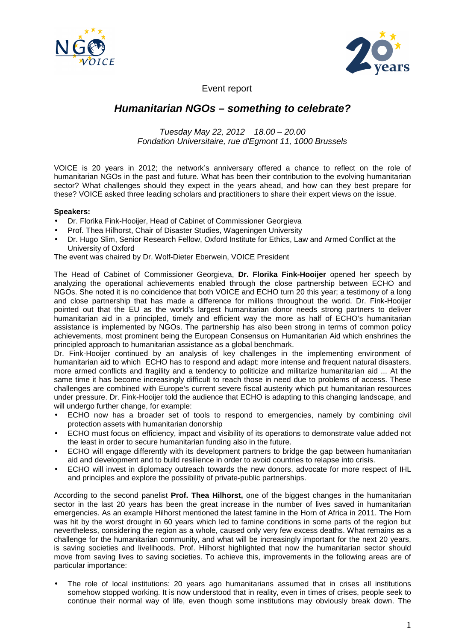



Event report

## **Humanitarian NGOs – something to celebrate?**

## Tuesday May 22, 2012 18.00 – 20.00 Fondation Universitaire, rue d'Egmont 11, 1000 Brussels

VOICE is 20 years in 2012; the network's anniversary offered a chance to reflect on the role of humanitarian NGOs in the past and future. What has been their contribution to the evolving humanitarian sector? What challenges should they expect in the years ahead, and how can they best prepare for these? VOICE asked three leading scholars and practitioners to share their expert views on the issue.

## **Speakers:**

- Dr. Florika Fink-Hooijer, Head of Cabinet of Commissioner Georgieva
- Prof. Thea Hilhorst, Chair of Disaster Studies, Wageningen University
- Dr. Hugo Slim, Senior Research Fellow, Oxford Institute for Ethics, Law and Armed Conflict at the University of Oxford

The event was chaired by Dr. Wolf-Dieter Eberwein, VOICE President

The Head of Cabinet of Commissioner Georgieva, **Dr. Florika Fink-Hooijer** opened her speech by analyzing the operational achievements enabled through the close partnership between ECHO and NGOs. She noted it is no coincidence that both VOICE and ECHO turn 20 this year; a testimony of a long and close partnership that has made a difference for millions throughout the world. Dr. Fink-Hooijer pointed out that the EU as the world's largest humanitarian donor needs strong partners to deliver humanitarian aid in a principled, timely and efficient way the more as half of ECHO's humanitarian assistance is implemented by NGOs. The partnership has also been strong in terms of common policy achievements, most prominent being the European Consensus on Humanitarian Aid which enshrines the principled approach to humanitarian assistance as a global benchmark.

Dr. Fink-Hooijer continued by an analysis of key challenges in the implementing environment of humanitarian aid to which ECHO has to respond and adapt: more intense and frequent natural disasters, more armed conflicts and fragility and a tendency to politicize and militarize humanitarian aid ... At the same time it has become increasingly difficult to reach those in need due to problems of access. These challenges are combined with Europe's current severe fiscal austerity which put humanitarian resources under pressure. Dr. Fink-Hooijer told the audience that ECHO is adapting to this changing landscape, and will undergo further change, for example:

- ECHO now has a broader set of tools to respond to emergencies, namely by combining civil protection assets with humanitarian donorship
- ECHO must focus on efficiency, impact and visibility of its operations to demonstrate value added not the least in order to secure humanitarian funding also in the future.
- ECHO will engage differently with its development partners to bridge the gap between humanitarian aid and development and to build resilience in order to avoid countries to relapse into crisis.
- ECHO will invest in diplomacy outreach towards the new donors, advocate for more respect of IHL and principles and explore the possibility of private-public partnerships.

According to the second panelist **Prof. Thea Hilhorst,** one of the biggest changes in the humanitarian sector in the last 20 years has been the great increase in the number of lives saved in humanitarian emergencies. As an example Hilhorst mentioned the latest famine in the Horn of Africa in 2011. The Horn was hit by the worst drought in 60 years which led to famine conditions in some parts of the region but nevertheless, considering the region as a whole, caused only very few excess deaths. What remains as a challenge for the humanitarian community, and what will be increasingly important for the next 20 years, is saving societies and livelihoods. Prof. Hilhorst highlighted that now the humanitarian sector should move from saving lives to saving societies. To achieve this, improvements in the following areas are of particular importance:

• The role of local institutions: 20 years ago humanitarians assumed that in crises all institutions somehow stopped working. It is now understood that in reality, even in times of crises, people seek to continue their normal way of life, even though some institutions may obviously break down. The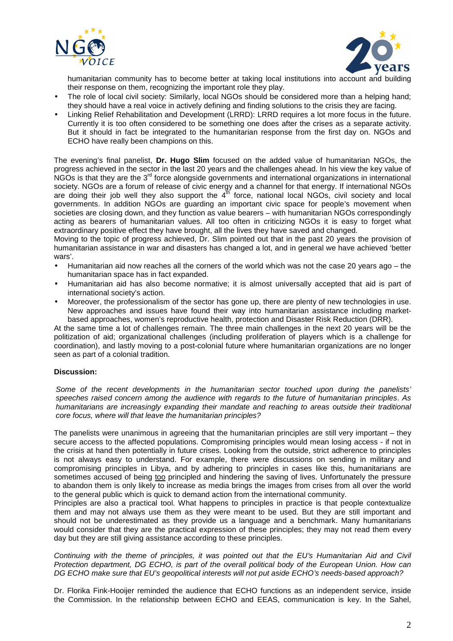



humanitarian community has to become better at taking local institutions into account and building their response on them, recognizing the important role they play.

- The role of local civil society: Similarly, local NGOs should be considered more than a helping hand; they should have a real voice in actively defining and finding solutions to the crisis they are facing.
- Linking Relief Rehabilitation and Development (LRRD): LRRD requires a lot more focus in the future. Currently it is too often considered to be something one does after the crises as a separate activity. But it should in fact be integrated to the humanitarian response from the first day on. NGOs and ECHO have really been champions on this.

The evening's final panelist, **Dr. Hugo Slim** focused on the added value of humanitarian NGOs, the progress achieved in the sector in the last 20 years and the challenges ahead. In his view the key value of NGOs is that they are the 3<sup>rd</sup> force alongside governments and international organizations in international society. NGOs are a forum of release of civic energy and a channel for that energy. If international NGOs are doing their job well they also support the  $4<sup>th</sup>$  force, national local NGOs, civil society and local governments. In addition NGOs are guarding an important civic space for people's movement when societies are closing down, and they function as value bearers – with humanitarian NGOs correspondingly acting as bearers of humanitarian values. All too often in criticizing NGOs it is easy to forget what extraordinary positive effect they have brought, all the lives they have saved and changed.

Moving to the topic of progress achieved, Dr. Slim pointed out that in the past 20 years the provision of humanitarian assistance in war and disasters has changed a lot, and in general we have achieved 'better wars'.

- Humanitarian aid now reaches all the corners of the world which was not the case 20 years ago the humanitarian space has in fact expanded.
- Humanitarian aid has also become normative; it is almost universally accepted that aid is part of international society's action.
- Moreover, the professionalism of the sector has gone up, there are plenty of new technologies in use. New approaches and issues have found their way into humanitarian assistance including marketbased approaches, women's reproductive health, protection and Disaster Risk Reduction (DRR).

At the same time a lot of challenges remain. The three main challenges in the next 20 years will be the politization of aid; organizational challenges (including proliferation of players which is a challenge for coordination), and lastly moving to a post-colonial future where humanitarian organizations are no longer seen as part of a colonial tradition.

## **Discussion:**

Some of the recent developments in the humanitarian sector touched upon during the panelists' speeches raised concern among the audience with regards to the future of humanitarian principles. As humanitarians are increasingly expanding their mandate and reaching to areas outside their traditional core focus, where will that leave the humanitarian principles?

The panelists were unanimous in agreeing that the humanitarian principles are still very important – they secure access to the affected populations. Compromising principles would mean losing access - if not in the crisis at hand then potentially in future crises. Looking from the outside, strict adherence to principles is not always easy to understand. For example, there were discussions on sending in military and compromising principles in Libya, and by adhering to principles in cases like this, humanitarians are sometimes accused of being too principled and hindering the saving of lives. Unfortunately the pressure to abandon them is only likely to increase as media brings the images from crises from all over the world to the general public which is quick to demand action from the international community.

Principles are also a practical tool. What happens to principles in practice is that people contextualize them and may not always use them as they were meant to be used. But they are still important and should not be underestimated as they provide us a language and a benchmark. Many humanitarians would consider that they are the practical expression of these principles; they may not read them every day but they are still giving assistance according to these principles.

Continuing with the theme of principles, it was pointed out that the EU's Humanitarian Aid and Civil Protection department, DG ECHO, is part of the overall political body of the European Union. How can DG ECHO make sure that EU's geopolitical interests will not put aside ECHO's needs-based approach?

Dr. Florika Fink-Hooijer reminded the audience that ECHO functions as an independent service, inside the Commission. In the relationship between ECHO and EEAS, communication is key. In the Sahel,